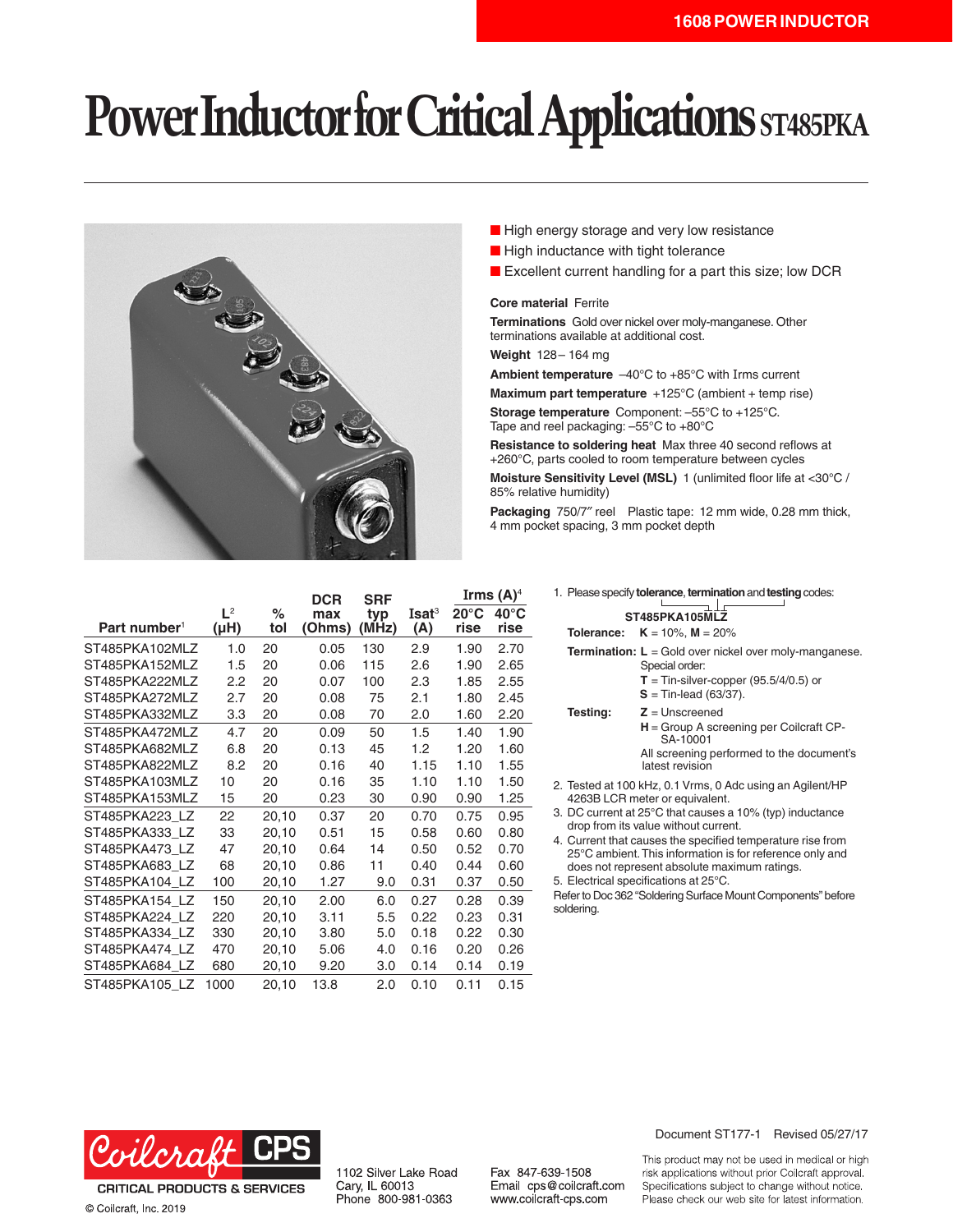# **Power Inductor for Critical Applications ST485PKA**



- High energy storage and very low resistance
- High inductance with tight tolerance
- Excellent current handling for a part this size; low DCR

#### **Core material** Ferrite

**Terminations** Gold over nickel over moly-manganese. Other terminations available at additional cost.

**Weight** 128– 164 mg

**Ambient temperature** –40°C to +85°C with Irms current

**Maximum part temperature** +125°C (ambient + temp rise) **Storage temperature** Component: –55°C to +125°C. Tape and reel packaging: –55°C to +80°C

**Resistance to soldering heat** Max three 40 second reflows at +260°C, parts cooled to room temperature between cycles

**Moisture Sensitivity Level (MSL)** 1 (unlimited floor life at <30°C / 85% relative humidity)

**Packaging** 750/7″ reel Plastic tape: 12 mm wide, 0.28 mm thick, 4 mm pocket spacing, 3 mm pocket depth

|                          |                    |             | <b>DCR</b>    | <b>SRF</b>   |                          | Irms $(A)^4$           |                        |
|--------------------------|--------------------|-------------|---------------|--------------|--------------------------|------------------------|------------------------|
| Part number <sup>1</sup> | $L^2$<br>$(\mu H)$ | $\%$<br>tol | max<br>(Ohms) | typ<br>(MHz) | Isat <sup>3</sup><br>(A) | $20^{\circ}$ C<br>rise | $40^{\circ}$ C<br>rise |
| ST485PKA102MLZ           | 1.0                | 20          | 0.05          | 130          | 2.9                      | 1.90                   | 2.70                   |
| ST485PKA152MLZ           | 1.5                | 20          | 0.06          | 115          | 2.6                      | 1.90                   | 2.65                   |
| ST485PKA222MLZ           | 2.2                | 20          | 0.07          | 100          | 2.3                      | 1.85                   | 2.55                   |
| ST485PKA272MLZ           | 2.7                | 20          | 0.08          | 75           | 2.1                      | 1.80                   | 2.45                   |
| ST485PKA332MLZ           | 3.3                | 20          | 0.08          | 70           | 2.0                      | 1.60                   | 2.20                   |
| ST485PKA472MLZ           | 4.7                | 20          | 0.09          | 50           | 1.5                      | 1.40                   | 1.90                   |
| ST485PKA682MLZ           | 6.8                | 20          | 0.13          | 45           | 1.2                      | 1.20                   | 1.60                   |
| ST485PKA822MLZ           | 8.2                | 20          | 0.16          | 40           | 1.15                     | 1.10                   | 1.55                   |
| ST485PKA103MLZ           | 10                 | 20          | 0.16          | 35           | 1.10                     | 1.10                   | 1.50                   |
| ST485PKA153MLZ           | 15                 | 20          | 0.23          | 30           | 0.90                     | 0.90                   | 1.25                   |
| ST485PKA223 LZ           | 22                 | 20,10       | 0.37          | 20           | 0.70                     | 0.75                   | 0.95                   |
| ST485PKA333 LZ           | 33                 | 20,10       | 0.51          | 15           | 0.58                     | 0.60                   | 0.80                   |
| ST485PKA473 LZ           | 47                 | 20,10       | 0.64          | 14           | 0.50                     | 0.52                   | 0.70                   |
| ST485PKA683 LZ           | 68                 | 20,10       | 0.86          | 11           | 0.40                     | 0.44                   | 0.60                   |
| ST485PKA104 LZ           | 100                | 20,10       | 1.27          | 9.0          | 0.31                     | 0.37                   | 0.50                   |
| ST485PKA154 LZ           | 150                | 20,10       | 2.00          | 6.0          | 0.27                     | 0.28                   | 0.39                   |
| ST485PKA224 LZ           | 220                | 20,10       | 3.11          | 5.5          | 0.22                     | 0.23                   | 0.31                   |
| ST485PKA334 LZ           | 330                | 20,10       | 3.80          | 5.0          | 0.18                     | 0.22                   | 0.30                   |
| ST485PKA474 LZ           | 470                | 20,10       | 5.06          | 4.0          | 0.16                     | 0.20                   | 0.26                   |
| ST485PKA684 LZ           | 680                | 20,10       | 9.20          | 3.0          | 0.14                     | 0.14                   | 0.19                   |
| ST485PKA105 LZ           | 1000               | 20,10       | 13.8          | 2.0          | 0.10                     | 0.11                   | 0.15                   |

|                |                                                                                                  | 1. Please specify <b>tolerance</b> , <b>termination</b> and <b>testing</b> codes:                                                                                      |  |  |  |  |
|----------------|--------------------------------------------------------------------------------------------------|------------------------------------------------------------------------------------------------------------------------------------------------------------------------|--|--|--|--|
| ST485PKA105MLZ |                                                                                                  |                                                                                                                                                                        |  |  |  |  |
|                |                                                                                                  | <b>Tolerance:</b> $K = 10\%$ , $M = 20\%$                                                                                                                              |  |  |  |  |
|                |                                                                                                  | <b>Termination:</b> $L =$ Gold over nickel over moly-manganese.<br>Special order:<br>$T =$ Tin-silver-copper (95.5/4/0.5) or<br>$S =$ Tin-lead (63/37).                |  |  |  |  |
|                | Testing:                                                                                         | $Z =$ Unscreened<br>$H =$ Group A screening per Coilcraft CP-<br>SA-10001<br>All screening performed to the document's<br>latest revision                              |  |  |  |  |
|                | 2. Tested at 100 kHz, 0.1 Vrms, 0 Adc using an Agilent/HP<br>4263B LCR meter or equivalent.      |                                                                                                                                                                        |  |  |  |  |
|                | 3. DC current at 25°C that causes a 10% (typ) inductance<br>drop from its value without current. |                                                                                                                                                                        |  |  |  |  |
|                |                                                                                                  | 4. Current that causes the specified temperature rise from<br>25°C ambient. This information is for reference only and<br>does not represent absolute maximum ratings. |  |  |  |  |

- 5. Electrical specifications at 25°C.
- Refer to Doc 362 "Soldering Surface Mount Components" before soldering.



**CRITICAL PRODUCTS & SERVICES** © Coilcraft, Inc. 2019

1102 Silver Lake Road Cary, IL 60013 Phone 800-981-0363

Fax 847-639-1508 Email cps@coilcraft.com www.coilcraft-cps.com

Document ST177-1 Revised 05/27/17

This product may not be used in medical or high risk applications without prior Coilcraft approval. Specifications subject to change without notice. Please check our web site for latest information.